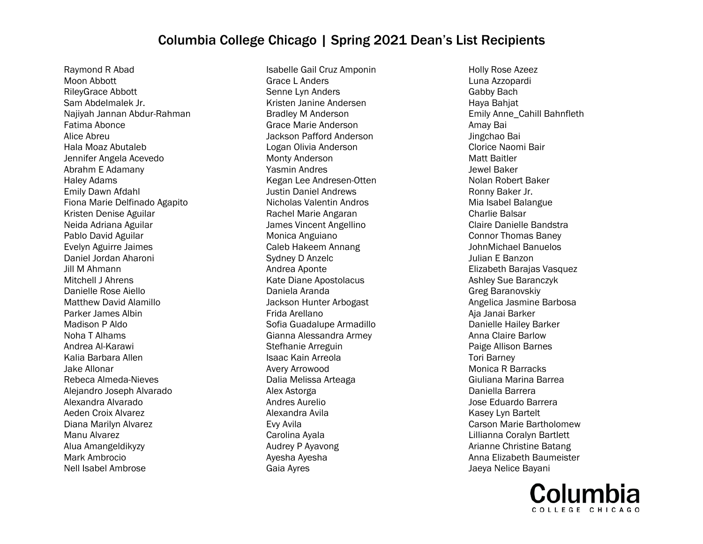Raymond R Abad Moon Abbott RileyGrace Abbott Sam Abdelmalek Jr. Najiyah Jannan Abdur-Rahman Fatima Abonce Alice Abreu Hala Moaz Abutaleb Jennifer Angela Acevedo Abrahm E Adamany Haley Adams Emily Dawn Afdahl Fiona Marie Delfinado Agapito Kristen Denise Aguilar Neida Adriana Aguilar Pablo David Aguilar Evelyn Aguirre Jaimes Daniel Jordan Aharoni Jill M Ahmann Mitchell J Ahrens Danielle Rose Aiello Matthew David Alamillo Parker James Albin Madison P Aldo Noha T Alhams Andrea Al-Karawi Kalia Barbara Allen Jake Allonar Rebeca Almeda-Nieves Alejandro Joseph Alvarado Alexandra Alvarado Aeden Croix Alvarez Diana Marilyn Alvarez Manu Alvarez Alua Amangeldikyzy Mark Ambrocio Nell Isabel Ambrose

Isabelle Gail Cruz Amponin Grace L Anders Senne Lyn Anders Kristen Janine Andersen Bradley M Anderson Grace Marie Anderson Jackson Pafford Anderson Logan Olivia Anderson Monty Anderson Yasmin Andres Kegan Lee Andresen-Otten Justin Daniel Andrews Nicholas Valentin Andros Rachel Marie Angaran James Vincent Angellino Monica Anguiano Caleb Hakeem Annang Sydney D Anzelc Andrea Aponte Kate Diane Apostolacus Daniela Aranda Jackson Hunter Arbogast Frida Arellano Sofia Guadalupe Armadillo Gianna Alessandra Armey Stefhanie Arreguin Isaac Kain Arreola Avery Arrowood Dalia Melissa Arteaga Alex Astorga Andres Aurelio Alexandra Avila Evy Avila Carolina Ayala Audrey P Ayavong Ayesha Ayesha Gaia Ayres

Holly Rose Azeez Luna Azzopardi Gabby Bach Haya Bahjat Emily Anne\_Cahill Bahnfleth Amay Bai Jingchao Bai Clorice Naomi Bair Matt Baitler Jewel Baker Nolan Robert Baker Ronny Baker Jr. Mia Isabel Balangue Charlie Balsar Claire Danielle Bandstra Connor Thomas Baney JohnMichael Banuelos Julian E Banzon Elizabeth Barajas Vasquez Ashley Sue Baranczyk Greg Baranovskiy Angelica Jasmine Barbosa Aja Janai Barker Danielle Hailey Barker Anna Claire Barlow Paige Allison Barnes Tori Barney Monica R Barracks Giuliana Marina Barrea Daniella Barrera Jose Eduardo Barrera Kasey Lyn Bartelt Carson Marie Bartholomew Lillianna Coralyn Bartlett Arianne Christine Batang Anna Elizabeth Baumeister Jaeya Nelice Bayani

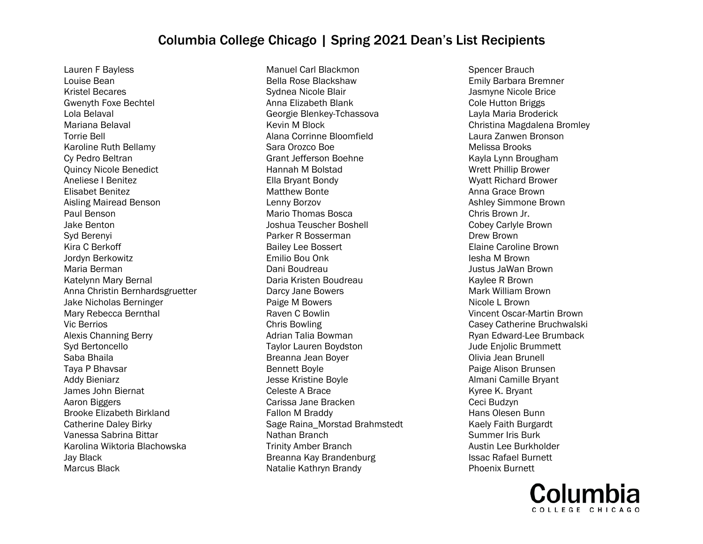Lauren F Bayless Louise Bean Kristel Becares Gwenyth Foxe Bechtel Lola Belaval Mariana Belaval Torrie Bell Karoline Ruth Bellamy Cy Pedro Beltran Quincy Nicole Benedict Aneliese I Benitez Elisabet Benitez Aisling Mairead Benson Paul Benson Jake Benton Syd Berenyi Kira C Berkoff Jordyn Berkowitz Maria Berman Katelynn Mary Bernal Anna Christin Bernhardsgruetter Jake Nicholas Berninger Mary Rebecca Bernthal Vic Berrios Alexis Channing Berry Syd Bertoncello Saba Bhaila Taya P Bhavsar Addy Bieniarz James John Biernat Aaron Biggers Brooke Elizabeth Birkland Catherine Daley Birky Vanessa Sabrina Bittar Karolina Wiktoria Blachowska Jay Black Marcus Black

Manuel Carl Blackmon Bella Rose Blackshaw Sydnea Nicole Blair Anna Elizabeth Blank Georgie Blenkey-Tchassova Kevin M Block Alana Corrinne Bloomfield Sara Orozco Boe Grant Jefferson Boehne Hannah M Bolstad Ella Bryant Bondy Matthew Bonte Lenny Borzov Mario Thomas Bosca Joshua Teuscher Boshell Parker R Bosserman Bailey Lee Bossert Emilio Bou Onk Dani Boudreau Daria Kristen Boudreau Darcy Jane Bowers Paige M Bowers Raven C Bowlin Chris Bowling Adrian Talia Bowman Taylor Lauren Boydston Breanna Jean Boyer Bennett Boyle Jesse Kristine Boyle Celeste A Brace Carissa Jane Bracken Fallon M Braddy Sage Raina\_Morstad Brahmstedt Nathan Branch Trinity Amber Branch Breanna Kay Brandenburg Natalie Kathryn Brandy

Spencer Brauch Emily Barbara Bremner Jasmyne Nicole Brice Cole Hutton Briggs Layla Maria Broderick Christina Magdalena Bromley Laura Zanwen Bronson Melissa Brooks Kayla Lynn Brougham Wrett Phillip Brower Wyatt Richard Brower Anna Grace Brown Ashley Simmone Brown Chris Brown Jr. Cobey Carlyle Brown Drew Brown Elaine Caroline Brown Iesha M Brown Justus JaWan Brown Kaylee R Brown Mark William Brown Nicole L Brown Vincent Oscar-Martin Brown Casey Catherine Bruchwalski Ryan Edward-Lee Brumback Jude Enjolic Brummett Olivia Jean Brunell Paige Alison Brunsen Almani Camille Bryant Kyree K. Bryant Ceci Budzyn Hans Olesen Bunn Kaely Faith Burgardt Summer Iris Burk Austin Lee Burkholder Issac Rafael Burnett Phoenix Burnett

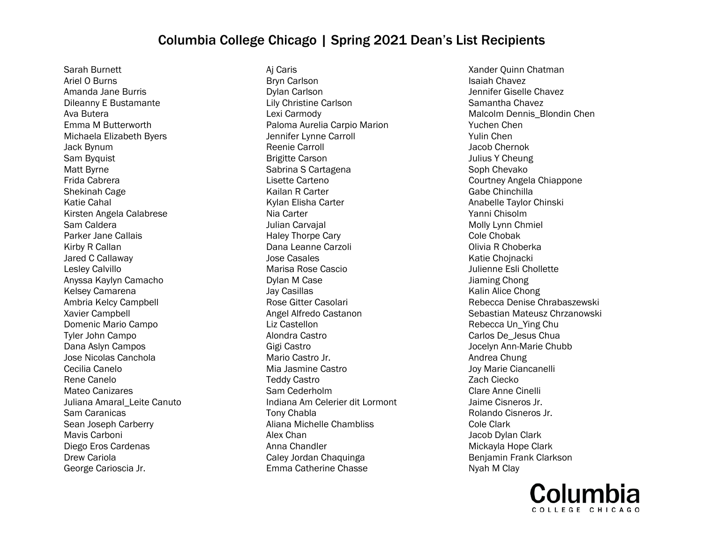Sarah Burnett Ariel O Burns Amanda Jane Burris Dileanny E Bustamante Ava Butera Emma M Butterworth Michaela Elizabeth Byers Jack Bynum Sam Byquist Matt Byrne Frida Cabrera Shekinah Cage Katie Cahal Kirsten Angela Calabrese Sam Caldera Parker Jane Callais Kirby R Callan Jared C Callaway Lesley Calvillo Anyssa Kaylyn Camacho Kelsey Camarena Ambria Kelcy Campbell Xavier Campbell Domenic Mario Campo Tyler John Campo Dana Aslyn Campos Jose Nicolas Canchola Cecilia Canelo Rene Canelo Mateo Canizares Juliana Amaral\_Leite Canuto Sam Caranicas Sean Joseph Carberry Mavis Carboni Diego Eros Cardenas Drew Cariola George Carioscia Jr.

Aj Caris Bryn Carlson Dylan Carlson Lily Christine Carlson Lexi Carmody Paloma Aurelia Carpio Marion Jennifer Lynne Carroll Reenie Carroll Brigitte Carson Sabrina S Cartagena Lisette Carteno Kailan R Carter Kylan Elisha Carter Nia Carter Julian Carvajal Haley Thorpe Cary Dana Leanne Carzoli Jose Casales Marisa Rose Cascio Dylan M Case Jay Casillas Rose Gitter Casolari Angel Alfredo Castanon Liz Castellon Alondra Castro Gigi Castro Mario Castro Jr. Mia Jasmine Castro Teddy Castro Sam Cederholm Indiana Am Celerier dit Lormont Tony Chabla Aliana Michelle Chambliss Alex Chan Anna Chandler Caley Jordan Chaquinga Emma Catherine Chasse

Xander Quinn Chatman Isaiah Chavez Jennifer Giselle Chavez Samantha Chavez Malcolm Dennis\_Blondin Chen Yuchen Chen Yulin Chen Jacob Chernok Julius Y Cheung Soph Chevako Courtney Angela Chiappone Gabe Chinchilla Anabelle Taylor Chinski Yanni Chisolm Molly Lynn Chmiel Cole Chobak Olivia R Choberka Katie Chojnacki Julienne Esli Chollette Jiaming Chong Kalin Alice Chong Rebecca Denise Chrabaszewski Sebastian Mateusz Chrzanowski Rebecca Un\_Ying Chu Carlos De\_Jesus Chua Jocelyn Ann-Marie Chubb Andrea Chung Joy Marie Ciancanelli Zach Ciecko Clare Anne Cinelli Jaime Cisneros Jr. Rolando Cisneros Jr. Cole Clark Jacob Dylan Clark Mickayla Hope Clark Benjamin Frank Clarkson Nyah M Clay

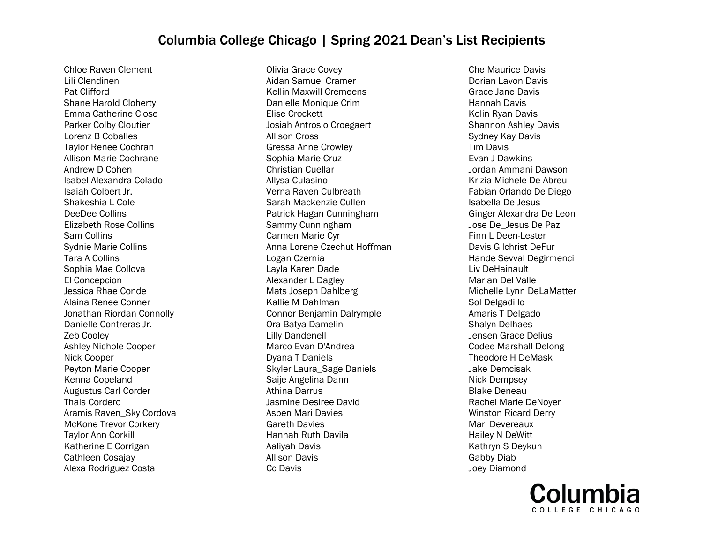Chloe Raven Clement Lili Clendinen Pat Clifford Shane Harold Cloherty Emma Catherine Close Parker Colby Cloutier Lorenz B Coballes Taylor Renee Cochran Allison Marie Cochrane Andrew D Cohen Isabel Alexandra Colado Isaiah Colbert Jr. Shakeshia L Cole DeeDee Collins Elizabeth Rose Collins Sam Collins Sydnie Marie Collins Tara A Collins Sophia Mae Collova El Concepcion Jessica Rhae Conde Alaina Renee Conner Jonathan Riordan Connolly Danielle Contreras Jr. Zeb Cooley Ashley Nichole Cooper Nick Cooper Peyton Marie Cooper Kenna Copeland Augustus Carl Corder Thais Cordero Aramis Raven\_Sky Cordova McKone Trevor Corkery Taylor Ann Corkill Katherine E Corrigan Cathleen Cosajay Alexa Rodriguez Costa

Olivia Grace Covey Aidan Samuel Cramer Kellin Maxwill Cremeens Danielle Monique Crim Elise Crockett Josiah Antrosio Croegaert Allison Cross Gressa Anne Crowley Sophia Marie Cruz Christian Cuellar Allysa Culasino Verna Raven Culbreath Sarah Mackenzie Cullen Patrick Hagan Cunningham Sammy Cunningham Carmen Marie Cyr Anna Lorene Czechut Hoffman Logan Czernia Layla Karen Dade Alexander L Dagley Mats Joseph Dahlberg Kallie M Dahlman Connor Benjamin Dalrymple Ora Batya Damelin Lilly Dandenell Marco Evan D'Andrea Dyana T Daniels Skyler Laura\_Sage Daniels Saije Angelina Dann Athina Darrus Jasmine Desiree David Aspen Mari Davies Gareth Davies Hannah Ruth Davila Aaliyah Davis Allison Davis Cc Davis

Che Maurice Davis Dorian Lavon Davis Grace Jane Davis Hannah Davis Kolin Ryan Davis Shannon Ashley Davis Sydney Kay Davis Tim Davis Evan J Dawkins Jordan Ammani Dawson Krizia Michele De Abreu Fabian Orlando De Diego Isabella De Jesus Ginger Alexandra De Leon Jose De\_Jesus De Paz Finn L Deen-Lester Davis Gilchrist DeFur Hande Sevval Degirmenci Liv DeHainault Marian Del Valle Michelle Lynn DeLaMatter Sol Delgadillo Amaris T Delgado Shalyn Delhaes Jensen Grace Delius Codee Marshall Delong Theodore H DeMask Jake Demcisak Nick Dempsey Blake Deneau Rachel Marie DeNoyer Winston Ricard Derry Mari Devereaux Hailey N DeWitt Kathryn S Deykun Gabby Diab Joey Diamond

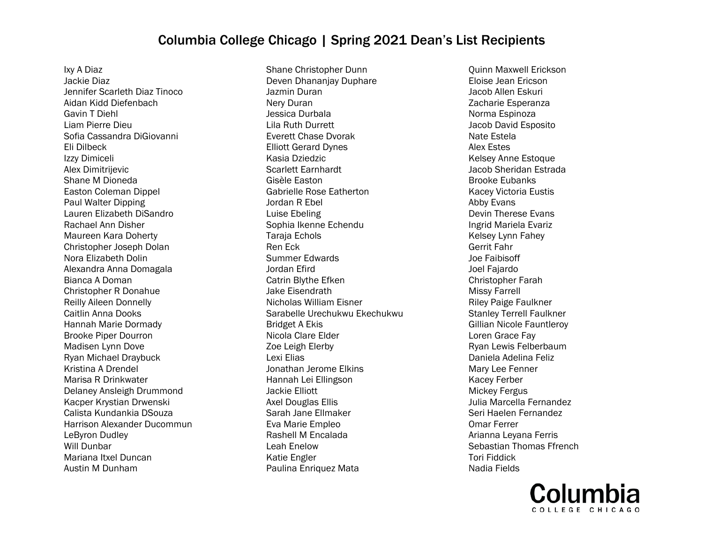Ixy A Diaz Jackie Diaz Jennifer Scarleth Diaz Tinoco Aidan Kidd Diefenbach Gavin T Diehl Liam Pierre Dieu Sofia Cassandra DiGiovanni Eli Dilbeck Izzy Dimiceli Alex Dimitrijevic Shane M Dioneda Easton Coleman Dippel Paul Walter Dipping Lauren Elizabeth DiSandro Rachael Ann Disher Maureen Kara Doherty Christopher Joseph Dolan Nora Elizabeth Dolin Alexandra Anna Domagala Bianca A Doman Christopher R Donahue Reilly Aileen Donnelly Caitlin Anna Dooks Hannah Marie Dormady Brooke Piper Dourron Madisen Lynn Dove Ryan Michael Draybuck Kristina A Drendel Marisa R Drinkwater Delaney Ansleigh Drummond Kacper Krystian Drwenski Calista Kundankia DSouza Harrison Alexander Ducommun LeByron Dudley Will Dunbar Mariana Itxel Duncan Austin M Dunham

Shane Christopher Dunn Deven Dhananjay Duphare Jazmin Duran Nery Duran Jessica Durbala Lila Ruth Durrett Everett Chase Dvorak Elliott Gerard Dynes Kasia Dziedzic Scarlett Earnhardt Gisèle Easton Gabrielle Rose Eatherton Jordan R Ebel Luise Ebeling Sophia Ikenne Echendu Taraja Echols Ren Eck Summer Edwards Jordan Efird Catrin Blythe Efken Jake Eisendrath Nicholas William Eisner Sarabelle Urechukwu Ekechukwu Bridget A Ekis Nicola Clare Elder Zoe Leigh Elerby Lexi Elias Jonathan Jerome Elkins Hannah Lei Ellingson Jackie Elliott Axel Douglas Ellis Sarah Jane Ellmaker Eva Marie Empleo Rashell M Encalada Leah Enelow Katie Engler Paulina Enriquez Mata

Quinn Maxwell Erickson Eloise Jean Ericson Jacob Allen Eskuri Zacharie Esperanza Norma Espinoza Jacob David Esposito Nate Estela Alex Estes Kelsey Anne Estoque Jacob Sheridan Estrada Brooke Eubanks Kacey Victoria Eustis Abby Evans Devin Therese Evans Ingrid Mariela Evariz Kelsey Lynn Fahey Gerrit Fahr Joe Faibisoff Joel Fajardo Christopher Farah Missy Farrell Riley Paige Faulkner Stanley Terrell Faulkner Gillian Nicole Fauntleroy Loren Grace Fay Ryan Lewis Felberbaum Daniela Adelina Feliz Mary Lee Fenner Kacey Ferber Mickey Fergus Julia Marcella Fernandez Seri Haelen Fernandez Omar Ferrer Arianna Leyana Ferris Sebastian Thomas Ffrench Tori Fiddick Nadia Fields

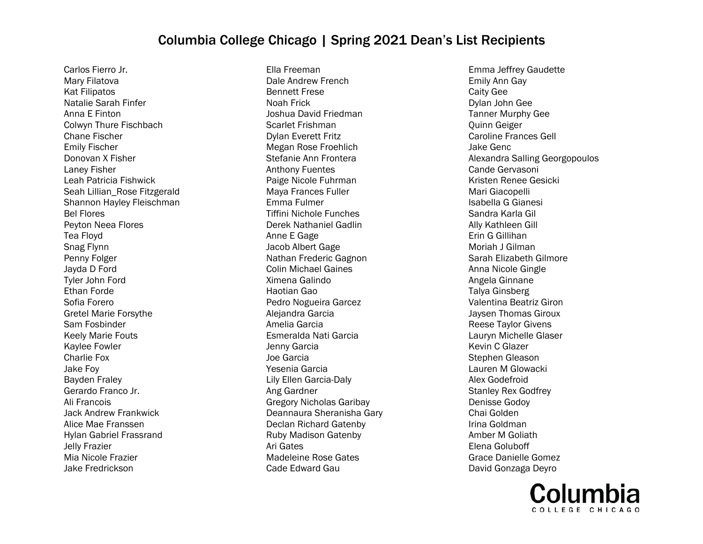Carlos Fierro Jr. Mary Filatova Kat Filipatos Natalie Sarah Finfer Anna E Finton Colwyn Thure Fischbach Chane Fischer Emily Fischer Donovan X Fisher Laney Fisher Leah Patricia Fishwick Seah Lillian\_Rose Fitzgerald Shannon Hayley Fleischman Bel Flores Peyton Neea Flores Tea Floyd Snag Flynn Penny Folger Jayda D Ford Tyler John Ford Ethan Forde Sofia Forero Gretel Marie Forsythe Sam Fosbinder Keely Marie Fouts Kaylee Fowler Charlie Fox Jake Foy Bayden Fraley Gerardo Franco Jr. Ali Francois Jack Andrew Frankwick Alice Mae Franssen Hylan Gabriel Frassrand Jelly Frazier Mia Nicole Frazier Jake Fredrickson

Ella Freeman Dale Andrew French Bennett Frese Noah Frick Joshua David Friedman Scarlet Frishman Dylan Everett Fritz Megan Rose Froehlich Stefanie Ann Frontera Anthony Fuentes Paige Nicole Fuhrman Maya Frances Fuller Emma Fulmer Tiffini Nichole Funches Derek Nathaniel Gadlin Anne E Gage Jacob Albert Gage Nathan Frederic Gagnon Colin Michael Gaines Ximena Galindo Haotian Gao Pedro Nogueira Garcez Alejandra Garcia Amelia Garcia Esmeralda Nati Garcia Jenny Garcia Joe Garcia Yesenia Garcia Lily Ellen Garcia-Daly Ang Gardner Gregory Nicholas Garibay Deannaura Sheranisha Gary Declan Richard Gatenby Ruby Madison Gatenby Ari Gates Madeleine Rose Gates Cade Edward Gau

Emma Jeffrey Gaudette Emily Ann Gay Caity Gee Dylan John Gee Tanner Murphy Gee Quinn Geiger Caroline Frances Gell Jake Genc Alexandra Salling Georgopoulos Cande Gervasoni Kristen Renee Gesicki Mari Giacopelli Isabella G Gianesi Sandra Karla Gil Ally Kathleen Gill Erin G Gillihan Moriah J Gilman Sarah Elizabeth Gilmore Anna Nicole Gingle Angela Ginnane Talya Ginsberg Valentina Beatriz Giron Jaysen Thomas Giroux Reese Taylor Givens Lauryn Michelle Glaser Kevin C Glazer Stephen Gleason Lauren M Glowacki Alex Godefroid Stanley Rex Godfrey Denisse Godoy Chai Golden Irina Goldman Amber M Goliath Elena Goluboff Grace Danielle Gomez David Gonzaga Deyro

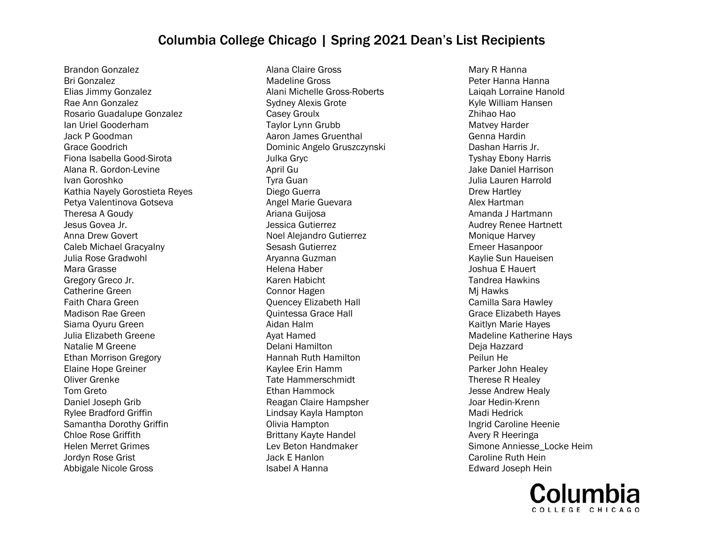Brandon Gonzalez Bri Gonzalez Elias Jimmy Gonzalez Rae Ann Gonzalez Rosario Guadalupe Gonzalez Ian Uriel Gooderham Jack P Goodman Grace Goodrich Fiona Isabella Good-Sirota Alana R. Gordon-Levine Ivan Goroshko Kathia Nayely Gorostieta Reyes Petya Valentinova Gotseva Theresa A Goudy Jesus Govea Jr. Anna Drew Govert Caleb Michael Gracyalny Julia Rose Gradwohl Mara Grasse Gregory Greco Jr. Catherine Green Faith Chara Green Madison Rae Green Siama Oyuru Green Julia Elizabeth Greene Natalie M Greene Ethan Morrison Gregory Elaine Hope Greiner Oliver Grenke Tom Greto Daniel Joseph Grib Rylee Bradford Griffin Samantha Dorothy Griffin Chloe Rose Griffith Helen Merret Grimes Jordyn Rose Grist Abbigale Nicole Gross

Alana Claire Gross Madeline Gross Alani Michelle Gross-Roberts Sydney Alexis Grote Casey Groulx Taylor Lynn Grubb Aaron James Gruenthal Dominic Angelo Gruszczynski Julka Gryc April Gu Tyra Guan Diego Guerra Angel Marie Guevara Ariana Guijosa Jessica Gutierrez Noel Alejandro Gutierrez Sesash Gutierrez Aryanna Guzman Helena Haber Karen Habicht Connor Hagen Quencey Elizabeth Hall Quintessa Grace Hall Aidan Halm Ayat Hamed Delani Hamilton Hannah Ruth Hamilton Kaylee Erin Hamm Tate Hammerschmidt Ethan Hammock Reagan Claire Hampsher Lindsay Kayla Hampton Olivia Hampton Brittany Kayte Handel Lev Beton Handmaker Jack E Hanlon Isabel A Hanna

Mary R Hanna Peter Hanna Hanna Laiqah Lorraine Hanold Kyle William Hansen Zhihao Hao Matvey Harder Genna Hardin Dashan Harris Jr. Tyshay Ebony Harris Jake Daniel Harrison Julia Lauren Harrold Drew Hartley Alex Hartman Amanda J Hartmann Audrey Renee Hartnett Monique Harvey Emeer Hasanpoor Kaylie Sun Haueisen Joshua E Hauert Tandrea Hawkins Mj Hawks Camilla Sara Hawley Grace Elizabeth Hayes Kaitlyn Marie Hayes Madeline Katherine Hays Deja Hazzard Peilun He Parker John Healey Therese R Healey Jesse Andrew Healy Joar Hedin-Krenn Madi Hedrick Ingrid Caroline Heenie Avery R Heeringa Simone Anniesse\_Locke Heim Caroline Ruth Hein Edward Joseph Hein

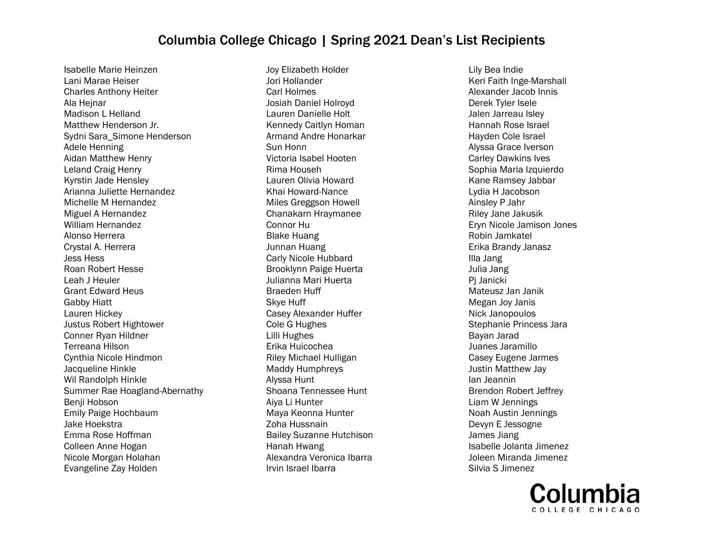Isabelle Marie Heinzen Lani Marae Heiser Charles Anthony Heiter Ala Hejnar Madison L Helland Matthew Henderson Jr. Sydni Sara\_Simone Henderson Adele Henning Aidan Matthew Henry Leland Craig Henry Kyrstin Jade Hensley Arianna Juliette Hernandez Michelle M Hernandez Miguel A Hernandez William Hernandez Alonso Herrera Crystal A. Herrera Jess Hess Roan Robert Hesse Leah J Heuler Grant Edward Heus Gabby Hiatt Lauren Hickey Justus Robert Hightower Conner Ryan Hildner Terreana Hilson Cynthia Nicole Hindmon Jacqueline Hinkle Wil Randolph Hinkle Summer Rae Hoagland-Abernathy Benji Hobson Emily Paige Hochbaum Jake Hoekstra Emma Rose Hoffman Colleen Anne Hogan Nicole Morgan Holahan Evangeline Zay Holden

Joy Elizabeth Holder Jori Hollander Carl Holmes Josiah Daniel Holroyd Lauren Danielle Holt Kennedy Caitlyn Homan Armand Andre Honarkar Sun Honn Victoria Isabel Hooten Rima Househ Lauren Olivia Howard Khai Howard-Nance Miles Greggson Howell Chanakarn Hraymanee Connor Hu Blake Huang Junnan Huang Carly Nicole Hubbard Brooklynn Paige Huerta Julianna Mari Huerta Braeden Huff Skye Huff Casey Alexander Huffer Cole G Hughes Lilli Hughes Erika Huicochea Riley Michael Hulligan Maddy Humphreys Alyssa Hunt Shoana Tennessee Hunt Aiya Li Hunter Maya Keonna Hunter Zoha Hussnain Bailey Suzanne Hutchison Hanah Hwang Alexandra Veronica Ibarra Irvin Israel Ibarra

Lily Bea Indie Keri Faith Inge-Marshall Alexander Jacob Innis Derek Tyler Isele Jalen Jarreau Isley Hannah Rose Israel Hayden Cole Israel Alyssa Grace Iverson Carley Dawkins Ives Sophia Maria Izquierdo Kane Ramsey Jabbar Lydia H Jacobson Ainsley P Jahr Riley Jane Jakusik Eryn Nicole Jamison Jones Robin Jamkatel Erika Brandy Janasz Illa Jang Julia Jang Pj Janicki Mateusz Jan Janik Megan Joy Janis Nick Janopoulos Stephanie Princess Jara Bayan Jarad Juanes Jaramillo Casey Eugene Jarmes Justin Matthew Jay Ian Jeannin Brendon Robert Jeffrey Liam W Jennings Noah Austin Jennings Devyn E Jessogne James Jiang Isabelle Jolanta Jimenez Joleen Miranda Jimenez Silvia S Jimenez

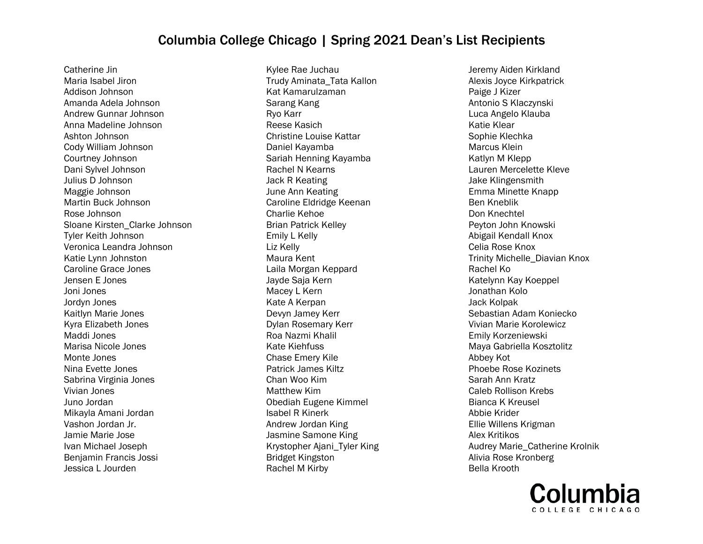Catherine Jin Maria Isabel Jiron Addison Johnson Amanda Adela Johnson Andrew Gunnar Johnson Anna Madeline Johnson Ashton Johnson Cody William Johnson Courtney Johnson Dani Sylvel Johnson Julius D Johnson Maggie Johnson Martin Buck Johnson Rose Johnson Sloane Kirsten\_Clarke Johnson Tyler Keith Johnson Veronica Leandra Johnson Katie Lynn Johnston Caroline Grace Jones Jensen E Jones Joni Jones Jordyn Jones Kaitlyn Marie Jones Kyra Elizabeth Jones Maddi Jones Marisa Nicole Jones Monte Jones Nina Evette Jones Sabrina Virginia Jones Vivian Jones Juno Jordan Mikayla Amani Jordan Vashon Jordan Jr. Jamie Marie Jose Ivan Michael Joseph Benjamin Francis Jossi Jessica L Jourden

Kylee Rae Juchau Trudy Aminata\_Tata Kallon Kat Kamarulzaman Sarang Kang Ryo Karr Reese Kasich Christine Louise Kattar Daniel Kayamba Sariah Henning Kayamba Rachel N Kearns Jack R Keating June Ann Keating Caroline Eldridge Keenan Charlie Kehoe Brian Patrick Kelley Emily L Kelly Liz Kelly Maura Kent Laila Morgan Keppard Jayde Saja Kern Macey L Kern Kate A Kerpan Devyn Jamey Kerr Dylan Rosemary Kerr Roa Nazmi Khalil Kate Kiehfuss Chase Emery Kile Patrick James Kiltz Chan Woo Kim Matthew Kim Obediah Eugene Kimmel Isabel R Kinerk Andrew Jordan King Jasmine Samone King Krystopher Ajani\_Tyler King Bridget Kingston Rachel M Kirby

Jeremy Aiden Kirkland Alexis Joyce Kirkpatrick Paige J Kizer Antonio S Klaczynski Luca Angelo Klauba Katie Klear Sophie Klechka Marcus Klein Katlyn M Klepp Lauren Mercelette Kleve Jake Klingensmith Emma Minette Knapp Ben Kneblik Don Knechtel Peyton John Knowski Abigail Kendall Knox Celia Rose Knox Trinity Michelle\_Diavian Knox Rachel Ko Katelynn Kay Koeppel Jonathan Kolo Jack Kolpak Sebastian Adam Koniecko Vivian Marie Korolewicz Emily Korzeniewski Maya Gabriella Kosztolitz Abbey Kot Phoebe Rose Kozinets Sarah Ann Kratz Caleb Rollison Krebs Bianca K Kreusel Abbie Krider Ellie Willens Krigman Alex Kritikos Audrey Marie\_Catherine Krolnik Alivia Rose Kronberg Bella Krooth

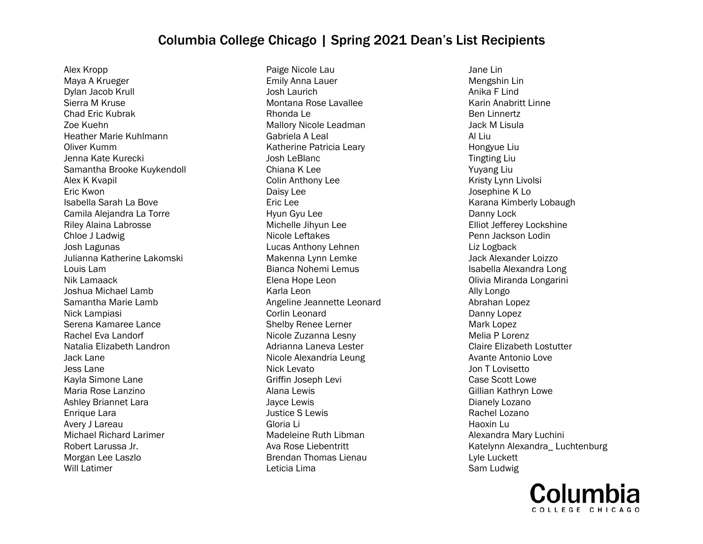Alex Kropp Maya A Krueger Dylan Jacob Krull Sierra M Kruse Chad Eric Kubrak Zoe Kuehn Heather Marie Kuhlmann Oliver Kumm Jenna Kate Kurecki Samantha Brooke Kuykendoll Alex K Kvapil Eric Kwon Isabella Sarah La Bove Camila Alejandra La Torre Riley Alaina Labrosse Chloe J Ladwig Josh Lagunas Julianna Katherine Lakomski Louis Lam Nik Lamaack Joshua Michael Lamb Samantha Marie Lamb Nick Lampiasi Serena Kamaree Lance Rachel Eva Landorf Natalia Elizabeth Landron Jack Lane Jess Lane Kayla Simone Lane Maria Rose Lanzino Ashley Briannet Lara Enrique Lara Avery J Lareau Michael Richard Larimer Robert Larussa Jr. Morgan Lee Laszlo Will Latimer

Paige Nicole Lau Emily Anna Lauer Josh Laurich Montana Rose Lavallee Rhonda Le Mallory Nicole Leadman Gabriela A Leal Katherine Patricia Leary Josh LeBlanc Chiana K Lee Colin Anthony Lee Daisy Lee Eric Lee Hyun Gyu Lee Michelle Jihyun Lee Nicole Leftakes Lucas Anthony Lehnen Makenna Lynn Lemke Bianca Nohemi Lemus Elena Hope Leon Karla Leon Angeline Jeannette Leonard Corlin Leonard Shelby Renee Lerner Nicole Zuzanna Lesny Adrianna Laneva Lester Nicole Alexandria Leung Nick Levato Griffin Joseph Levi Alana Lewis Jayce Lewis Justice S Lewis Gloria Li Madeleine Ruth Libman Ava Rose Liebentritt Brendan Thomas Lienau Leticia Lima

Jane Lin Mengshin Lin Anika F Lind Karin Anabritt Linne Ben Linnertz Jack M Lisula Al Liu Hongyue Liu Tingting Liu Yuyang Liu Kristy Lynn Livolsi Josephine K Lo Karana Kimberly Lobaugh Danny Lock Elliot Jefferey Lockshine Penn Jackson Lodin Liz Logback Jack Alexander Loizzo Isabella Alexandra Long Olivia Miranda Longarini Ally Longo Abrahan Lopez Danny Lopez Mark Lopez Melia P Lorenz Claire Elizabeth Lostutter Avante Antonio Love Jon T Lovisetto Case Scott Lowe Gillian Kathryn Lowe Dianely Lozano Rachel Lozano Haoxin Lu Alexandra Mary Luchini Katelynn Alexandra\_ Luchtenburg Lyle Luckett Sam Ludwig

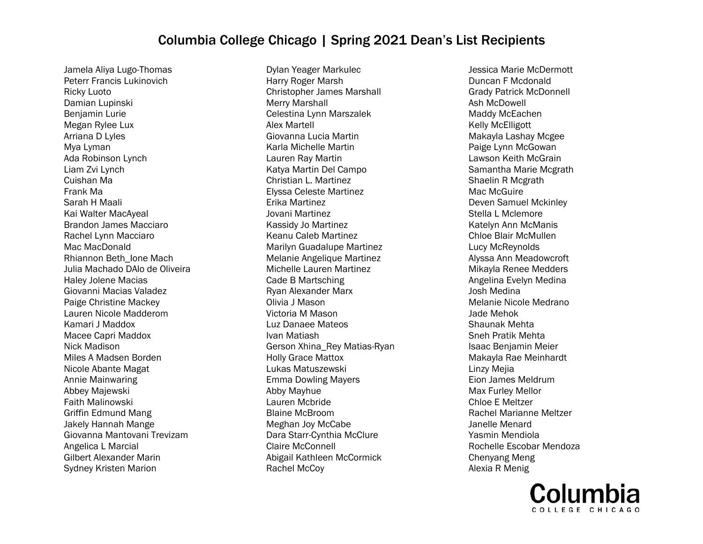Jamela Aliya Lugo-Thomas Peterr Francis Lukinovich Ricky Luoto Damian Lupinski Benjamin Lurie Megan Rylee Lux Arriana D Lyles Mya Lyman Ada Robinson Lynch Liam Zvi Lynch Cuishan Ma Frank Ma Sarah H Maali Kai Walter MacAyeal Brandon James Macciaro Rachel Lynn Macciaro Mac MacDonald Rhiannon Beth\_Ione Mach Julia Machado DAlo de Oliveira Haley Jolene Macias Giovanni Macias Valadez Paige Christine Mackey Lauren Nicole Madderom Kamari J Maddox Macee Capri Maddox Nick Madison Miles A Madsen Borden Nicole Abante Magat Annie Mainwaring Abbey Majewski Faith Malinowski Griffin Edmund Mang Jakely Hannah Mange Giovanna Mantovani Trevizam Angelica L Marcial Gilbert Alexander Marin Sydney Kristen Marion

Dylan Yeager Markulec Harry Roger Marsh Christopher James Marshall Merry Marshall Celestina Lynn Marszalek Alex Martell Giovanna Lucia Martin Karla Michelle Martin Lauren Ray Martin Katya Martin Del Campo Christian L. Martinez Elyssa Celeste Martinez Erika Martinez Jovani Martinez Kassidy Jo Martinez Keanu Caleb Martinez Marilyn Guadalupe Martinez Melanie Angelique Martinez Michelle Lauren Martinez Cade B Martsching Ryan Alexander Marx Olivia J Mason Victoria M Mason Luz Danaee Mateos Ivan Matiash Gerson Xhina\_Rey Matias-Ryan Holly Grace Mattox Lukas Matuszewski Emma Dowling Mayers Abby Mayhue Lauren Mcbride Blaine McBroom Meghan Joy McCabe Dara Starr-Cynthia McClure Claire McConnell Abigail Kathleen McCormick Rachel McCoy

Jessica Marie McDermott Duncan F Mcdonald Grady Patrick McDonnell Ash McDowell Maddy McEachen Kelly McElligott Makayla Lashay Mcgee Paige Lynn McGowan Lawson Keith McGrain Samantha Marie Mcgrath Shaelin R Mcgrath Mac McGuire Deven Samuel Mckinley Stella L Mclemore Katelyn Ann McManis Chloe Blair McMullen Lucy McReynolds Alyssa Ann Meadowcroft Mikayla Renee Medders Angelina Evelyn Medina Josh Medina Melanie Nicole Medrano Jade Mehok Shaunak Mehta Sneh Pratik Mehta Isaac Benjamin Meier Makayla Rae Meinhardt Linzy Mejia Eion James Meldrum Max Furley Mellor Chloe E Meltzer Rachel Marianne Meltzer Janelle Menard Yasmin Mendiola Rochelle Escobar Mendoza Chenyang Meng Alexia R Menig

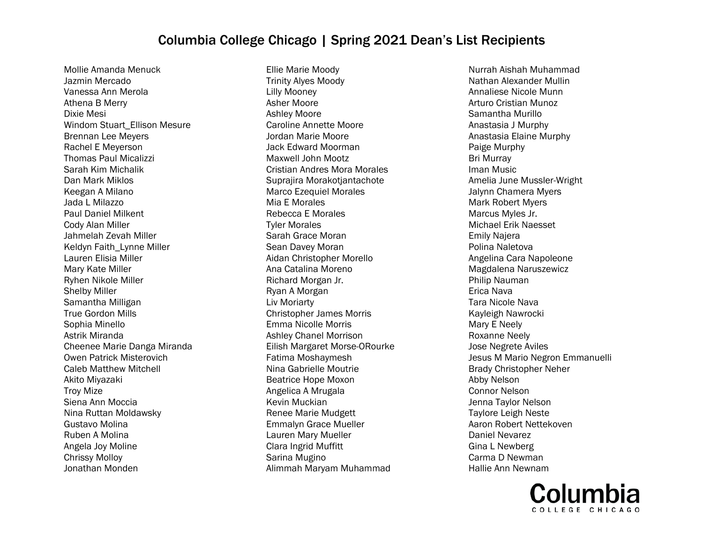Mollie Amanda Menuck Jazmin Mercado Vanessa Ann Merola Athena B Merry Dixie Mesi Windom Stuart\_Ellison Mesure Brennan Lee Meyers Rachel E Meyerson Thomas Paul Micalizzi Sarah Kim Michalik Dan Mark Miklos Keegan A Milano Jada L Milazzo Paul Daniel Milkent Cody Alan Miller Jahmelah Zevah Miller Keldyn Faith\_Lynne Miller Lauren Elisia Miller Mary Kate Miller Ryhen Nikole Miller Shelby Miller Samantha Milligan True Gordon Mills Sophia Minello Astrik Miranda Cheenee Marie Danga Miranda Owen Patrick Misterovich Caleb Matthew Mitchell Akito Miyazaki Troy Mize Siena Ann Moccia Nina Ruttan Moldawsky Gustavo Molina Ruben A Molina Angela Joy Moline Chrissy Molloy Jonathan Monden

Ellie Marie Moody Trinity Alyes Moody Lilly Mooney Asher Moore Ashley Moore Caroline Annette Moore Jordan Marie Moore Jack Edward Moorman Maxwell John Mootz Cristian Andres Mora Morales Suprajira Morakotjantachote Marco Ezequiel Morales Mia E Morales Rebecca E Morales Tyler Morales Sarah Grace Moran Sean Davey Moran Aidan Christopher Morello Ana Catalina Moreno Richard Morgan Jr. Ryan A Morgan Liv Moriarty Christopher James Morris Emma Nicolle Morris Ashley Chanel Morrison Eilish Margaret Morse-ORourke Fatima Moshaymesh Nina Gabrielle Moutrie Beatrice Hope Moxon Angelica A Mrugala Kevin Muckian Renee Marie Mudgett Emmalyn Grace Mueller Lauren Mary Mueller Clara Ingrid Muffitt Sarina Mugino Alimmah Maryam Muhammad

Nurrah Aishah Muhammad Nathan Alexander Mullin Annaliese Nicole Munn Arturo Cristian Munoz Samantha Murillo Anastasia J Murphy Anastasia Elaine Murphy Paige Murphy Bri Murray Iman Music Amelia June Mussler-Wright Jalynn Chamera Myers Mark Robert Myers Marcus Myles Jr. Michael Erik Naesset Emily Najera Polina Naletova Angelina Cara Napoleone Magdalena Naruszewicz Philip Nauman Erica Nava Tara Nicole Nava Kayleigh Nawrocki Mary E Neely Roxanne Neely Jose Negrete Aviles Jesus M Mario Negron Emmanuelli Brady Christopher Neher Abby Nelson Connor Nelson Jenna Taylor Nelson Taylore Leigh Neste Aaron Robert Nettekoven Daniel Nevarez Gina L Newberg Carma D Newman Hallie Ann Newnam

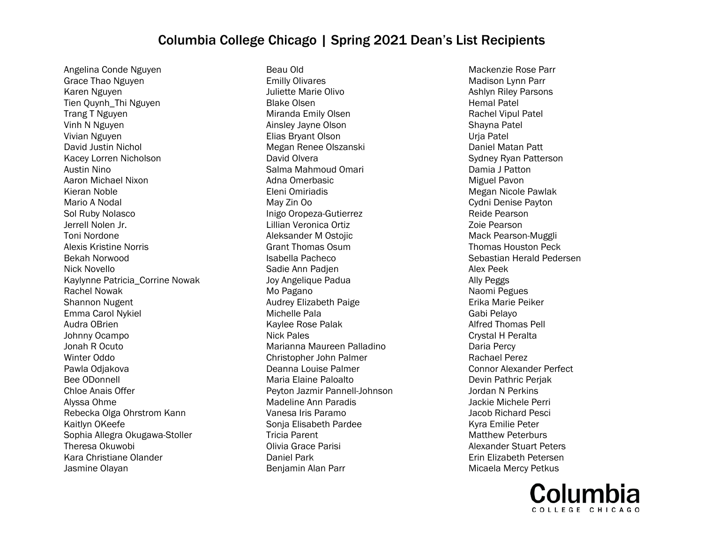Angelina Conde Nguyen Grace Thao Nguyen Karen Nguyen Tien Quynh\_Thi Nguyen Trang T Nguyen Vinh N Nguyen Vivian Nguyen David Justin Nichol Kacey Lorren Nicholson Austin Nino Aaron Michael Nixon Kieran Noble Mario A Nodal Sol Ruby Nolasco Jerrell Nolen Jr. Toni Nordone Alexis Kristine Norris Bekah Norwood Nick Novello Kaylynne Patricia\_Corrine Nowak Rachel Nowak Shannon Nugent Emma Carol Nykiel Audra OBrien Johnny Ocampo Jonah R Ocuto Winter Oddo Pawla Odjakova Bee ODonnell Chloe Anais Offer Alyssa Ohme Rebecka Olga Ohrstrom Kann Kaitlyn OKeefe Sophia Allegra Okugawa-Stoller Theresa Okuwobi Kara Christiane Olander Jasmine Olayan

Beau Old Emilly Olivares Juliette Marie Olivo Blake Olsen Miranda Emily Olsen Ainsley Jayne Olson Elias Bryant Olson Megan Renee Olszanski David Olvera Salma Mahmoud Omari Adna Omerbasic Eleni Omiriadis May Zin Oo Inigo Oropeza-Gutierrez Lillian Veronica Ortiz Aleksander M Ostojic Grant Thomas Osum Isabella Pacheco Sadie Ann Padjen Joy Angelique Padua Mo Pagano Audrey Elizabeth Paige Michelle Pala Kaylee Rose Palak Nick Pales Marianna Maureen Palladino Christopher John Palmer Deanna Louise Palmer Maria Elaine Paloalto Peyton Jazmir Pannell-Johnson Madeline Ann Paradis Vanesa Iris Paramo Sonja Elisabeth Pardee Tricia Parent Olivia Grace Parisi Daniel Park Benjamin Alan Parr

Mackenzie Rose Parr Madison Lynn Parr Ashlyn Riley Parsons Hemal Patel Rachel Vipul Patel Shayna Patel Urja Patel Daniel Matan Patt Sydney Ryan Patterson Damia J Patton Miguel Pavon Megan Nicole Pawlak Cydni Denise Payton Reide Pearson Zoie Pearson Mack Pearson-Muggli Thomas Houston Peck Sebastian Herald Pedersen Alex Peek Ally Peggs Naomi Pegues Erika Marie Peiker Gabi Pelayo Alfred Thomas Pell Crystal H Peralta Daria Percy Rachael Perez Connor Alexander Perfect Devin Pathric Perjak Jordan N Perkins Jackie Michele Perri Jacob Richard Pesci Kyra Emilie Peter Matthew Peterburs Alexander Stuart Peters Erin Elizabeth Petersen Micaela Mercy Petkus

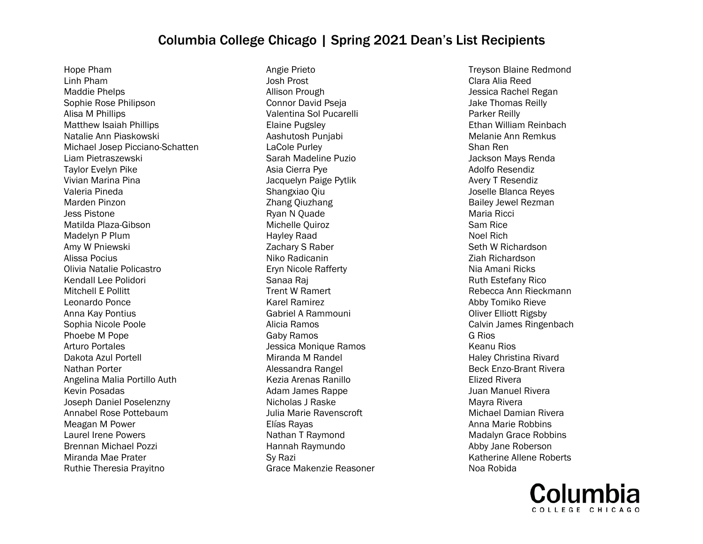Hope Pham Linh Pham Maddie Phelps Sophie Rose Philipson Alisa M Phillips Matthew Isaiah Phillips Natalie Ann Piaskowski Michael Josep Picciano-Schatten Liam Pietraszewski Taylor Evelyn Pike Vivian Marina Pina Valeria Pineda Marden Pinzon Jess Pistone Matilda Plaza-Gibson Madelyn P Plum Amy W Pniewski Alissa Pocius Olivia Natalie Policastro Kendall Lee Polidori Mitchell E Pollitt Leonardo Ponce Anna Kay Pontius Sophia Nicole Poole Phoebe M Pope Arturo Portales Dakota Azul Portell Nathan Porter Angelina Malia Portillo Auth Kevin Posadas Joseph Daniel Poselenzny Annabel Rose Pottebaum Meagan M Power Laurel Irene Powers Brennan Michael Pozzi Miranda Mae Prater Ruthie Theresia Prayitno

Angie Prieto Josh Prost Allison Prough Connor David Pseja Valentina Sol Pucarelli Elaine Pugsley Aashutosh Punjabi LaCole Purley Sarah Madeline Puzio Asia Cierra Pye Jacquelyn Paige Pytlik Shangxiao Qiu Zhang Qiuzhang Ryan N Quade Michelle Quiroz Hayley Raad Zachary S Raber Niko Radicanin Eryn Nicole Rafferty Sanaa Raj Trent W Ramert Karel Ramirez Gabriel A Rammouni Alicia Ramos Gaby Ramos Jessica Monique Ramos Miranda M Randel Alessandra Rangel Kezia Arenas Ranillo Adam James Rappe Nicholas J Raske Julia Marie Ravenscroft Elías Rayas Nathan T Raymond Hannah Raymundo Sy Razi Grace Makenzie Reasoner

Treyson Blaine Redmond Clara Alia Reed Jessica Rachel Regan Jake Thomas Reilly Parker Reilly Ethan William Reinbach Melanie Ann Remkus Shan Ren Jackson Mays Renda Adolfo Resendiz Avery T Resendiz Joselle Blanca Reyes Bailey Jewel Rezman Maria Ricci Sam Rice Noel Rich Seth W Richardson Ziah Richardson Nia Amani Ricks Ruth Estefany Rico Rebecca Ann Rieckmann Abby Tomiko Rieve Oliver Elliott Rigsby Calvin James Ringenbach G Rios Keanu Rios Haley Christina Rivard Beck Enzo-Brant Rivera Elized Rivera Juan Manuel Rivera Mayra Rivera Michael Damian Rivera Anna Marie Robbins Madalyn Grace Robbins Abby Jane Roberson Katherine Allene Roberts Noa Robida

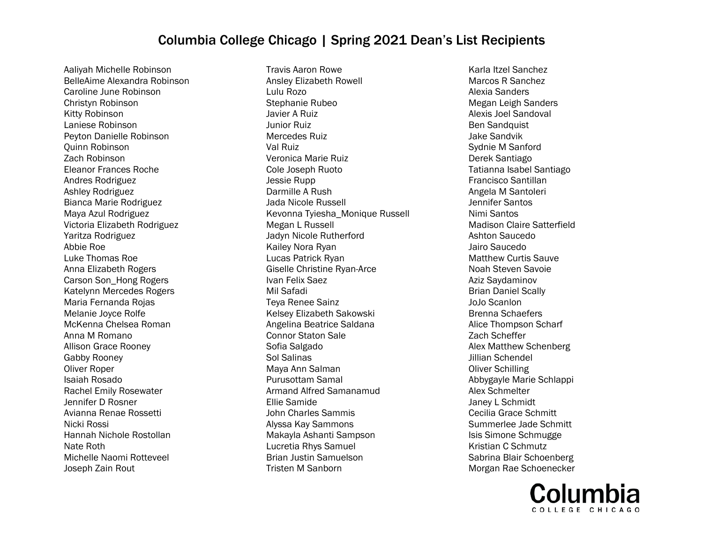Aaliyah Michelle Robinson BelleAime Alexandra Robinson Caroline June Robinson Christyn Robinson Kitty Robinson Laniese Robinson Peyton Danielle Robinson Quinn Robinson Zach Robinson Eleanor Frances Roche Andres Rodriguez Ashley Rodriguez Bianca Marie Rodriguez Maya Azul Rodriguez Victoria Elizabeth Rodriguez Yaritza Rodriguez Abbie Roe Luke Thomas Roe Anna Elizabeth Rogers Carson Son\_Hong Rogers Katelynn Mercedes Rogers Maria Fernanda Rojas Melanie Joyce Rolfe McKenna Chelsea Roman Anna M Romano Allison Grace Rooney Gabby Rooney Oliver Roper Isaiah Rosado Rachel Emily Rosewater Jennifer D Rosner Avianna Renae Rossetti Nicki Rossi Hannah Nichole Rostollan Nate Roth Michelle Naomi Rotteveel Joseph Zain Rout

Travis Aaron Rowe Ansley Elizabeth Rowell Lulu Rozo Stephanie Rubeo Javier A Ruiz Junior Ruiz Mercedes Ruiz Val Ruiz Veronica Marie Ruiz Cole Joseph Ruoto Jessie Rupp Darmille A Rush Jada Nicole Russell Kevonna Tyiesha\_Monique Russell Megan L Russell Jadyn Nicole Rutherford Kailey Nora Ryan Lucas Patrick Ryan Giselle Christine Ryan-Arce Ivan Felix Saez Mil Safadi Teya Renee Sainz Kelsey Elizabeth Sakowski Angelina Beatrice Saldana Connor Staton Sale Sofia Salgado Sol Salinas Maya Ann Salman Purusottam Samal Armand Alfred Samanamud Ellie Samide John Charles Sammis Alyssa Kay Sammons Makayla Ashanti Sampson Lucretia Rhys Samuel Brian Justin Samuelson Tristen M Sanborn

Karla Itzel Sanchez Marcos R Sanchez Alexia Sanders Megan Leigh Sanders Alexis Joel Sandoval Ben Sandquist Jake Sandvik Sydnie M Sanford Derek Santiago Tatianna Isabel Santiago Francisco Santillan Angela M Santoleri Jennifer Santos Nimi Santos Madison Claire Satterfield Ashton Saucedo Jairo Saucedo Matthew Curtis Sauve Noah Steven Savoie Aziz Saydaminov Brian Daniel Scally JoJo Scanlon Brenna Schaefers Alice Thompson Scharf Zach Scheffer Alex Matthew Schenberg Jillian Schendel Oliver Schilling Abbygayle Marie Schlappi Alex Schmelter Janey L Schmidt Cecilia Grace Schmitt Summerlee Jade Schmitt Isis Simone Schmugge Kristian C Schmutz Sabrina Blair Schoenberg Morgan Rae Schoenecker

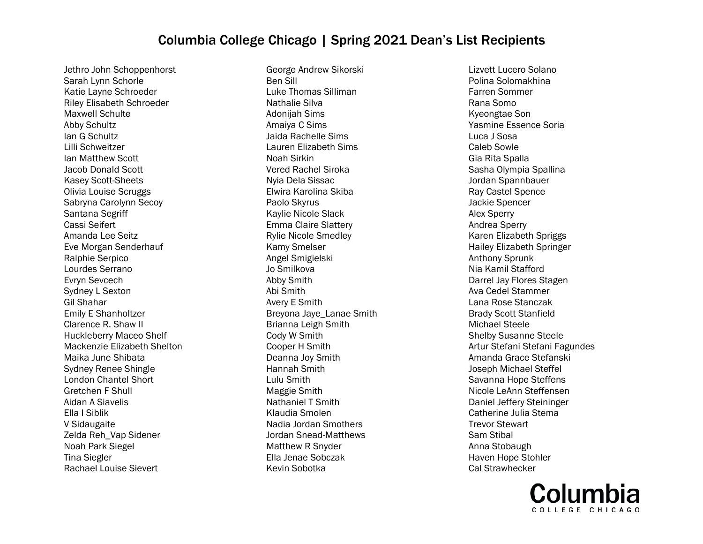Jethro John Schoppenhorst Sarah Lynn Schorle Katie Layne Schroeder Riley Elisabeth Schroeder Maxwell Schulte Abby Schultz Ian G Schultz Lilli Schweitzer Ian Matthew Scott Jacob Donald Scott Kasey Scott-Sheets Olivia Louise Scruggs Sabryna Carolynn Secoy Santana Segriff Cassi Seifert Amanda Lee Seitz Eve Morgan Senderhauf Ralphie Serpico Lourdes Serrano Evryn Sevcech Sydney L Sexton Gil Shahar Emily E Shanholtzer Clarence R. Shaw II Huckleberry Maceo Shelf Mackenzie Elizabeth Shelton Maika June Shibata Sydney Renee Shingle London Chantel Short Gretchen F Shull Aidan A Siavelis Ella I Siblik V Sidaugaite Zelda Reh\_Vap Sidener Noah Park Siegel Tina Siegler Rachael Louise Sievert

George Andrew Sikorski Ben Sill Luke Thomas Silliman Nathalie Silva Adonijah Sims Amaiya C Sims Jaida Rachelle Sims Lauren Elizabeth Sims Noah Sirkin Vered Rachel Siroka Nyia Dela Sissac Elwira Karolina Skiba Paolo Skyrus Kaylie Nicole Slack Emma Claire Slattery Rylie Nicole Smedley Kamy Smelser Angel Smigielski Jo Smilkova Abby Smith Abi Smith Avery E Smith Breyona Jaye\_Lanae Smith Brianna Leigh Smith Cody W Smith Cooper H Smith Deanna Joy Smith Hannah Smith Lulu Smith Maggie Smith Nathaniel T Smith Klaudia Smolen Nadia Jordan Smothers Jordan Snead-Matthews Matthew R Snyder Ella Jenae Sobczak Kevin Sobotka

Lizvett Lucero Solano Polina Solomakhina Farren Sommer Rana Somo Kyeongtae Son Yasmine Essence Soria Luca J Sosa Caleb Sowle Gia Rita Spalla Sasha Olympia Spallina Jordan Spannbauer Ray Castel Spence Jackie Spencer Alex Sperry Andrea Sperry Karen Elizabeth Spriggs Hailey Elizabeth Springer Anthony Sprunk Nia Kamil Stafford Darrel Jay Flores Stagen Ava Cedel Stammer Lana Rose Stanczak Brady Scott Stanfield Michael Steele Shelby Susanne Steele Artur Stefani Stefani Fagundes Amanda Grace Stefanski Joseph Michael Steffel Savanna Hope Steffens Nicole LeAnn Steffensen Daniel Jeffery Steininger Catherine Julia Stema Trevor Stewart Sam Stibal Anna Stobaugh Haven Hope Stohler Cal Strawhecker

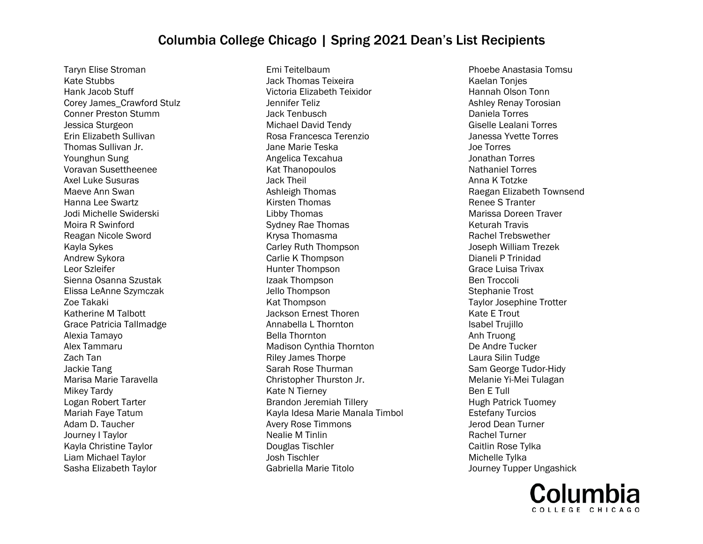Taryn Elise Stroman Kate Stubbs Hank Jacob Stuff Corey James\_Crawford Stulz Conner Preston Stumm Jessica Sturgeon Erin Elizabeth Sullivan Thomas Sullivan Jr. Younghun Sung Voravan Susettheenee Axel Luke Susuras Maeve Ann Swan Hanna Lee Swartz Jodi Michelle Swiderski Moira R Swinford Reagan Nicole Sword Kayla Sykes Andrew Sykora Leor Szleifer Sienna Osanna Szustak Elissa LeAnne Szymczak Zoe Takaki Katherine M Talbott Grace Patricia Tallmadge Alexia Tamayo Alex Tammaru Zach Tan Jackie Tang Marisa Marie Taravella Mikey Tardy Logan Robert Tarter Mariah Faye Tatum Adam D. Taucher Journey I Taylor Kayla Christine Taylor Liam Michael Taylor Sasha Elizabeth Taylor

Emi Teitelbaum Jack Thomas Teixeira Victoria Elizabeth Teixidor Jennifer Teliz Jack Tenbusch Michael David Tendy Rosa Francesca Terenzio Jane Marie Teska Angelica Texcahua Kat Thanopoulos Jack Theil Ashleigh Thomas Kirsten Thomas Libby Thomas Sydney Rae Thomas Krysa Thomasma Carley Ruth Thompson Carlie K Thompson Hunter Thompson Izaak Thompson Jello Thompson Kat Thompson Jackson Ernest Thoren Annabella L Thornton Bella Thornton Madison Cynthia Thornton Riley James Thorpe Sarah Rose Thurman Christopher Thurston Jr. Kate N Tierney Brandon Jeremiah Tillery Kayla Idesa Marie Manala Timbol Avery Rose Timmons Nealie M Tinlin Douglas Tischler Josh Tischler Gabriella Marie Titolo

Phoebe Anastasia Tomsu Kaelan Tonjes Hannah Olson Tonn Ashley Renay Torosian Daniela Torres Giselle Lealani Torres Janessa Yvette Torres Joe Torres Jonathan Torres Nathaniel Torres Anna K Totzke Raegan Elizabeth Townsend Renee S Tranter Marissa Doreen Traver Keturah Travis Rachel Trebswether Joseph William Trezek Dianeli P Trinidad Grace Luisa Trivax Ben Troccoli Stephanie Trost Taylor Josephine Trotter Kate E Trout Isabel Trujillo Anh Truong De Andre Tucker Laura Silin Tudge Sam George Tudor-Hidy Melanie Yi-Mei Tulagan Ben E Tull Hugh Patrick Tuomey Estefany Turcios Jerod Dean Turner Rachel Turner Caitlin Rose Tylka Michelle Tylka Journey Tupper Ungashick

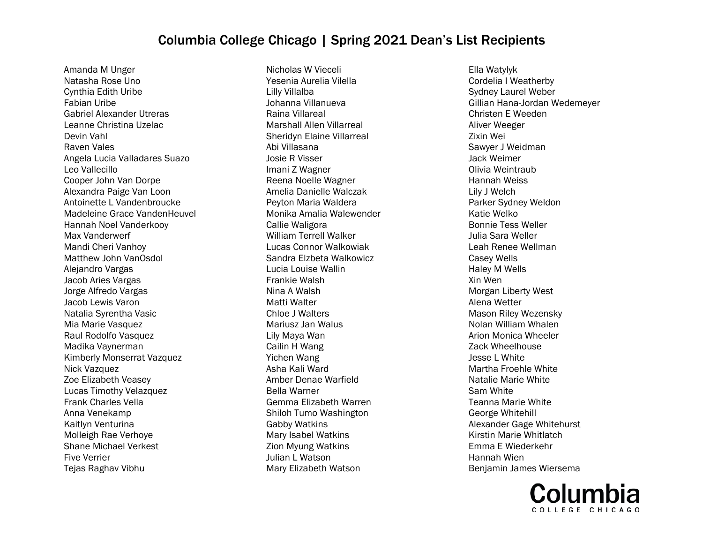Amanda M Unger Natasha Rose Uno Cynthia Edith Uribe Fabian Uribe Gabriel Alexander Utreras Leanne Christina Uzelac Devin Vahl Raven Vales Angela Lucia Valladares Suazo Leo Vallecillo Cooper John Van Dorpe Alexandra Paige Van Loon Antoinette L Vandenbroucke Madeleine Grace VandenHeuvel Hannah Noel Vanderkooy Max Vanderwerf Mandi Cheri Vanhoy Matthew John VanOsdol Alejandro Vargas Jacob Aries Vargas Jorge Alfredo Vargas Jacob Lewis Varon Natalia Syrentha Vasic Mia Marie Vasquez Raul Rodolfo Vasquez Madika Vaynerman Kimberly Monserrat Vazquez Nick Vazquez Zoe Elizabeth Veasey Lucas Timothy Velazquez Frank Charles Vella Anna Venekamp Kaitlyn Venturina Molleigh Rae Verhoye Shane Michael Verkest Five Verrier Tejas Raghav Vibhu

Nicholas W Vieceli Yesenia Aurelia Vilella Lilly Villalba Johanna Villanueva Raina Villareal Marshall Allen Villarreal Sheridyn Elaine Villarreal Abi Villasana Josie R Visser Imani Z Wagner Reena Noelle Wagner Amelia Danielle Walczak Peyton Maria Waldera Monika Amalia Walewender Callie Waligora William Terrell Walker Lucas Connor Walkowiak Sandra Elzbeta Walkowicz Lucia Louise Wallin Frankie Walsh Nina A Walsh Matti Walter Chloe J Walters Mariusz Jan Walus Lily Maya Wan Cailin H Wang Yichen Wang Asha Kali Ward Amber Denae Warfield Bella Warner Gemma Elizabeth Warren Shiloh Tumo Washington Gabby Watkins Mary Isabel Watkins Zion Myung Watkins Julian L Watson Mary Elizabeth Watson

Ella Watylyk Cordelia I Weatherby Sydney Laurel Weber Gillian Hana-Jordan Wedemeyer Christen E Weeden Aliver Weeger Zixin Wei Sawyer J Weidman Jack Weimer Olivia Weintraub Hannah Weiss Lily J Welch Parker Sydney Weldon Katie Welko Bonnie Tess Weller Julia Sara Weller Leah Renee Wellman Casey Wells Haley M Wells Xin Wen Morgan Liberty West Alena Wetter Mason Riley Wezensky Nolan William Whalen Arion Monica Wheeler Zack Wheelhouse Jesse L White Martha Froehle White Natalie Marie White Sam White Teanna Marie White George Whitehill Alexander Gage Whitehurst Kirstin Marie Whitlatch Emma E Wiederkehr Hannah Wien Benjamin James Wiersema